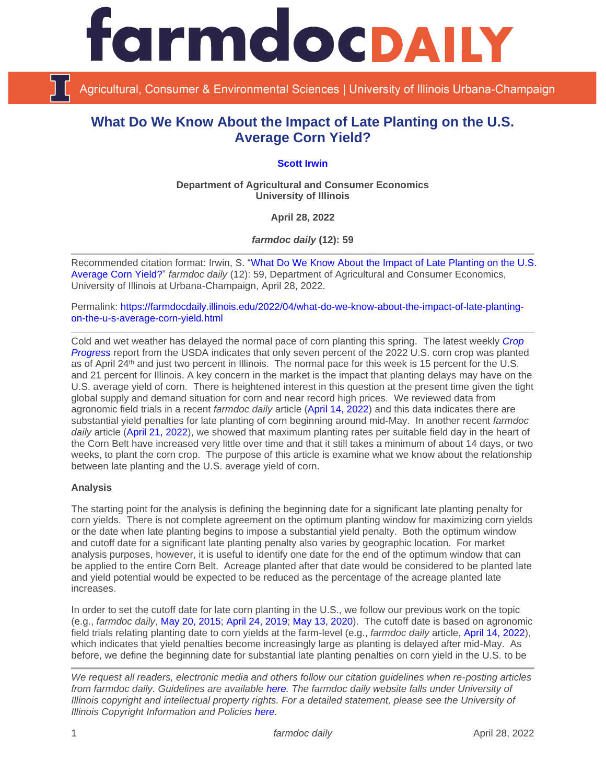

Agricultural, Consumer & Environmental Sciences | University of Illinois Urbana-Champaign

# **What Do We Know About the Impact of Late Planting on the U.S. Average Corn Yield?**

## **[Scott Irwin](https://scotthirwin.com/)**

**Department of Agricultural and Consumer Economics University of Illinois**

**April 28, 2022**

*farmdoc daily* **(12): 59**

Recommended citation format: Irwin, S. ["What Do We Know About the Impact of Late Planting on the U.S.](https://farmdocdaily.illinois.edu/2022/04/what-do-we-know-about-the-impact-of-late-planting-on-the-u-s-average-corn-yield.html)  [Average Corn Yield?"](https://farmdocdaily.illinois.edu/2022/04/what-do-we-know-about-the-impact-of-late-planting-on-the-u-s-average-corn-yield.html) *farmdoc daily* (12): 59, Department of Agricultural and Consumer Economics, University of Illinois at Urbana-Champaign, April 28, 2022.

Permalink: [https://farmdocdaily.illinois.edu/2022/04/what-do-we-know-about-the-impact-of-late-planting](https://farmdocdaily.illinois.edu/2022/04/what-do-we-know-about-the-impact-of-late-planting-on-the-u-s-average-corn-yield.html)[on-the-u-s-average-corn-yield.html](https://farmdocdaily.illinois.edu/2022/04/what-do-we-know-about-the-impact-of-late-planting-on-the-u-s-average-corn-yield.html)

Cold and wet weather has delayed the normal pace of corn planting this spring. The latest weekly *[Crop](https://downloads.usda.library.cornell.edu/usda-esmis/files/8336h188j/gm80k152f/34850n40s/prog1822.pdf)  [Progress](https://downloads.usda.library.cornell.edu/usda-esmis/files/8336h188j/gm80k152f/34850n40s/prog1822.pdf)* report from the USDA indicates that only seven percent of the 2022 U.S. corn crop was planted as of April 24<sup>th</sup> and just two percent in Illinois. The normal pace for this week is 15 percent for the U.S. and 21 percent for Illinois. A key concern in the market is the impact that planting delays may have on the U.S. average yield of corn. There is heightened interest in this question at the present time given the tight global supply and demand situation for corn and near record high prices. We reviewed data from agronomic field trials in a recent *farmdoc daily* article [\(April 14, 2022\)](https://farmdocdaily.illinois.edu/2022/04/what-do-we-know-about-planting-dates-and-corn-and-soybean-yield-from-agronomic-field-trials.html) and this data indicates there are substantial yield penalties for late planting of corn beginning around mid-May. In another recent *farmdoc daily* article [\(April 21, 2022\)](https://farmdocdaily.illinois.edu/2022/04/what-do-we-know-about-how-long-it-takes-to-plant-the-us-corn-crop.html), we showed that maximum planting rates per suitable field day in the heart of the Corn Belt have increased very little over time and that it still takes a minimum of about 14 days, or two weeks, to plant the corn crop. The purpose of this article is examine what we know about the relationship between late planting and the U.S. average yield of corn.

#### **Analysis**

The starting point for the analysis is defining the beginning date for a significant late planting penalty for corn yields. There is not complete agreement on the optimum planting window for maximizing corn yields or the date when late planting begins to impose a substantial yield penalty. Both the optimum window and cutoff date for a significant late planting penalty also varies by geographic location. For market analysis purposes, however, it is useful to identify one date for the end of the optimum window that can be applied to the entire Corn Belt. Acreage planted after that date would be considered to be planted late and yield potential would be expected to be reduced as the percentage of the acreage planted late increases.

In order to set the cutoff date for late corn planting in the U.S., we follow our previous work on the topic (e.g., *farmdoc daily*, [May 20, 2015;](http://farmdocdaily.illinois.edu/2015/05/early-planting-and-2015-corn-yield-prospects.html) [April 24, 2019;](https://farmdocdaily.illinois.edu/2019/04/prospects-for-timely-planting-of-the-2019-corn-crop.html) [May 13, 2020\)](https://farmdocdaily.illinois.edu/2020/05/the-impact-of-late-planting-on-u-s-average-corn-yield.html). The cutoff date is based on agronomic field trials relating planting date to corn yields at the farm-level (e.g., *farmdoc daily* article, [April 14, 2022\)](https://farmdocdaily.illinois.edu/2022/04/what-do-we-know-about-planting-dates-and-corn-and-soybean-yield-from-agronomic-field-trials.html), which indicates that yield penalties become increasingly large as planting is delayed after mid-May. As before, we define the beginning date for substantial late planting penalties on corn yield in the U.S. to be

*We request all readers, electronic media and others follow our citation guidelines when re-posting articles from farmdoc daily. Guidelines are available [here.](http://farmdocdaily.illinois.edu/citationguide.html) The farmdoc daily website falls under University of Illinois copyright and intellectual property rights. For a detailed statement, please see the University of Illinois Copyright Information and Policies [here.](http://www.cio.illinois.edu/policies/copyright/)*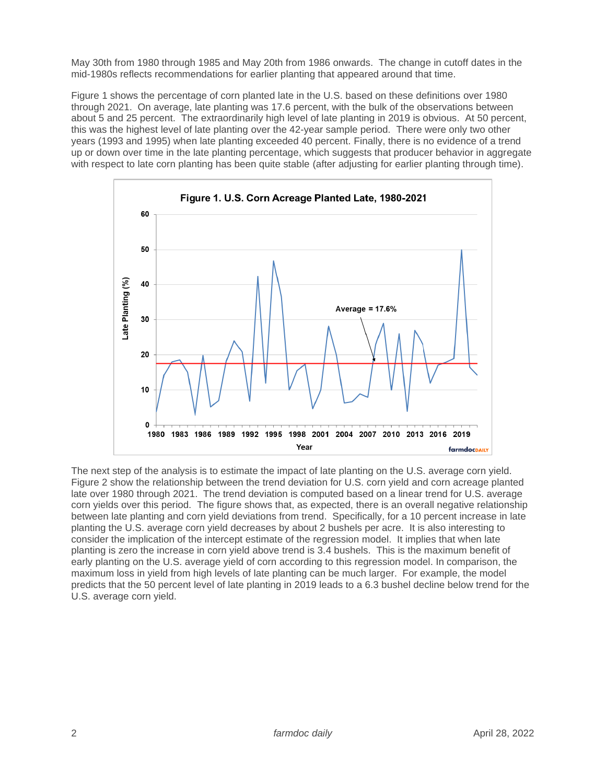May 30th from 1980 through 1985 and May 20th from 1986 onwards. The change in cutoff dates in the mid-1980s reflects recommendations for earlier planting that appeared around that time.

Figure 1 shows the percentage of corn planted late in the U.S. based on these definitions over 1980 through 2021. On average, late planting was 17.6 percent, with the bulk of the observations between about 5 and 25 percent. The extraordinarily high level of late planting in 2019 is obvious. At 50 percent, this was the highest level of late planting over the 42-year sample period. There were only two other years (1993 and 1995) when late planting exceeded 40 percent. Finally, there is no evidence of a trend up or down over time in the late planting percentage, which suggests that producer behavior in aggregate with respect to late corn planting has been quite stable (after adjusting for earlier planting through time).



The next step of the analysis is to estimate the impact of late planting on the U.S. average corn yield. Figure 2 show the relationship between the trend deviation for U.S. corn yield and corn acreage planted late over 1980 through 2021. The trend deviation is computed based on a linear trend for U.S. average corn yields over this period. The figure shows that, as expected, there is an overall negative relationship between late planting and corn yield deviations from trend. Specifically, for a 10 percent increase in late planting the U.S. average corn yield decreases by about 2 bushels per acre. It is also interesting to consider the implication of the intercept estimate of the regression model. It implies that when late planting is zero the increase in corn yield above trend is 3.4 bushels. This is the maximum benefit of early planting on the U.S. average yield of corn according to this regression model. In comparison, the maximum loss in yield from high levels of late planting can be much larger. For example, the model predicts that the 50 percent level of late planting in 2019 leads to a 6.3 bushel decline below trend for the U.S. average corn yield.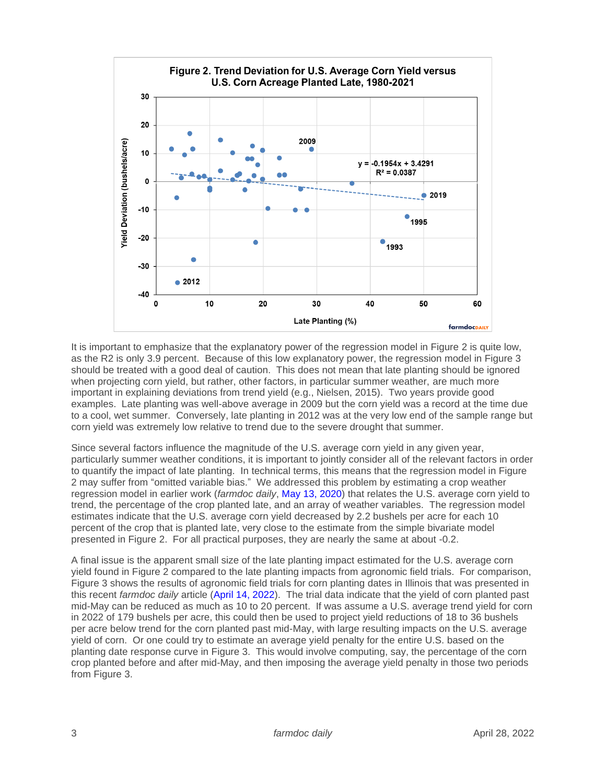

It is important to emphasize that the explanatory power of the regression model in Figure 2 is quite low, as the R2 is only 3.9 percent. Because of this low explanatory power, the regression model in Figure 3 should be treated with a good deal of caution. This does not mean that late planting should be ignored when projecting corn yield, but rather, other factors, in particular summer weather, are much more important in explaining deviations from trend yield (e.g., Nielsen, 2015). Two years provide good examples. Late planting was well-above average in 2009 but the corn yield was a record at the time due to a cool, wet summer. Conversely, late planting in 2012 was at the very low end of the sample range but corn yield was extremely low relative to trend due to the severe drought that summer.

Since several factors influence the magnitude of the U.S. average corn yield in any given year, particularly summer weather conditions, it is important to jointly consider all of the relevant factors in order to quantify the impact of late planting. In technical terms, this means that the regression model in Figure 2 may suffer from "omitted variable bias." We addressed this problem by estimating a crop weather regression model in earlier work (*farmdoc daily*, [May 13, 2020\)](https://farmdocdaily.illinois.edu/2020/05/the-impact-of-late-planting-on-u-s-average-corn-yield.html) that relates the U.S. average corn yield to trend, the percentage of the crop planted late, and an array of weather variables. The regression model estimates indicate that the U.S. average corn yield decreased by 2.2 bushels per acre for each 10 percent of the crop that is planted late, very close to the estimate from the simple bivariate model presented in Figure 2. For all practical purposes, they are nearly the same at about -0.2.

A final issue is the apparent small size of the late planting impact estimated for the U.S. average corn yield found in Figure 2 compared to the late planting impacts from agronomic field trials. For comparison, Figure 3 shows the results of agronomic field trials for corn planting dates in Illinois that was presented in this recent *farmdoc daily* article [\(April 14, 2022\)](https://farmdocdaily.illinois.edu/2022/04/what-do-we-know-about-planting-dates-and-corn-and-soybean-yield-from-agronomic-field-trials.html). The trial data indicate that the yield of corn planted past mid-May can be reduced as much as 10 to 20 percent. If was assume a U.S. average trend yield for corn in 2022 of 179 bushels per acre, this could then be used to project yield reductions of 18 to 36 bushels per acre below trend for the corn planted past mid-May, with large resulting impacts on the U.S. average yield of corn. Or one could try to estimate an average yield penalty for the entire U.S. based on the planting date response curve in Figure 3. This would involve computing, say, the percentage of the corn crop planted before and after mid-May, and then imposing the average yield penalty in those two periods from Figure 3.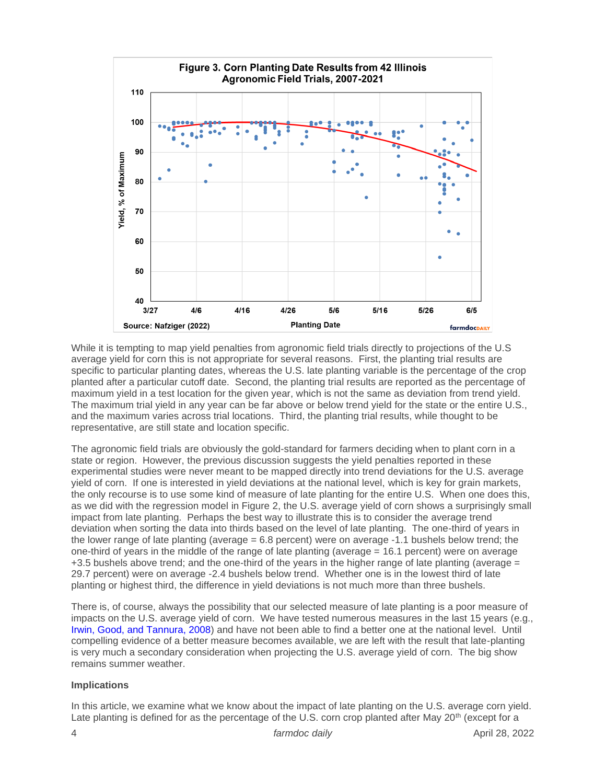

While it is tempting to map yield penalties from agronomic field trials directly to projections of the U.S average yield for corn this is not appropriate for several reasons. First, the planting trial results are specific to particular planting dates, whereas the U.S. late planting variable is the percentage of the crop planted after a particular cutoff date. Second, the planting trial results are reported as the percentage of maximum yield in a test location for the given year, which is not the same as deviation from trend yield. The maximum trial yield in any year can be far above or below trend yield for the state or the entire U.S., and the maximum varies across trial locations. Third, the planting trial results, while thought to be representative, are still state and location specific.

The agronomic field trials are obviously the gold-standard for farmers deciding when to plant corn in a state or region. However, the previous discussion suggests the yield penalties reported in these experimental studies were never meant to be mapped directly into trend deviations for the U.S. average yield of corn. If one is interested in yield deviations at the national level, which is key for grain markets, the only recourse is to use some kind of measure of late planting for the entire U.S. When one does this, as we did with the regression model in Figure 2, the U.S. average yield of corn shows a surprisingly small impact from late planting. Perhaps the best way to illustrate this is to consider the average trend deviation when sorting the data into thirds based on the level of late planting. The one-third of years in the lower range of late planting (average = 6.8 percent) were on average -1.1 bushels below trend; the one-third of years in the middle of the range of late planting (average = 16.1 percent) were on average +3.5 bushels above trend; and the one-third of the years in the higher range of late planting (average = 29.7 percent) were on average -2.4 bushels below trend. Whether one is in the lowest third of late planting or highest third, the difference in yield deviations is not much more than three bushels.

There is, of course, always the possibility that our selected measure of late planting is a poor measure of impacts on the U.S. average yield of corn. We have tested numerous measures in the last 15 years (e.g., [Irwin, Good, and Tannura, 2008\)](https://farmdoc.illinois.edu/assets/marketing/mobr/mobr_08-03.pdf) and have not been able to find a better one at the national level. Until compelling evidence of a better measure becomes available, we are left with the result that late-planting is very much a secondary consideration when projecting the U.S. average yield of corn. The big show remains summer weather.

#### **Implications**

In this article, we examine what we know about the impact of late planting on the U.S. average corn yield. Late planting is defined for as the percentage of the U.S. corn crop planted after May 20<sup>th</sup> (except for a